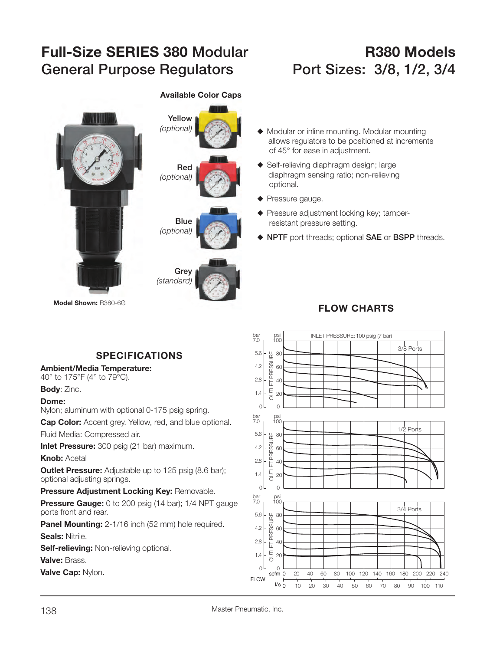# **Full-Size SERIES 380 Modular R380 Models**General Purpose Regulators Port Sizes: 3/8, 1/2, 3/4





#### **Available Color Caps**

#### $\blacklozenge$  Modular or inline mounting. Modular mounting allows regulators to be positioned at increments of 45° for ease in adjustment.

- $\blacklozenge$  Self-relieving diaphragm design; large diaphragm sensing ratio; non-relieving optional.
- $\blacklozenge$  Pressure gauge.
- $\blacklozenge$  Pressure adjustment locking key; tamperresistant pressure setting.
- S **NPTF** port threads; optional **SAE** or **BSPP** threads.

### **FLOW CHARTS**



## **SPECIFICATIONS**

#### **Ambient/Media Temperature:**

40° to 175°F (4° to 79°C).

**Body**: Zinc.

#### **Dome:**

Nylon; aluminum with optional 0-175 psig spring.

**Cap Color:** Accent grey. Yellow, red, and blue optional.

Fluid Media: Compressed air.

**Inlet Pressure:** 300 psig (21 bar) maximum.

#### **Knob:** Acetal

**Outlet Pressure:** Adjustable up to 125 psig (8.6 bar); optional adjusting springs.

#### **Pressure Adjustment Locking Key:** Removable.

**Pressure Gauge:** 0 to 200 psig (14 bar); 1/4 NPT gauge ports front and rear.

**Panel Mounting:** 2-1/16 inch (52 mm) hole required. **Seals:** Nitrile.

**Self-relieving:** Non-relieving optional.

**Valve:** Brass.

**Valve Cap:** Nylon.